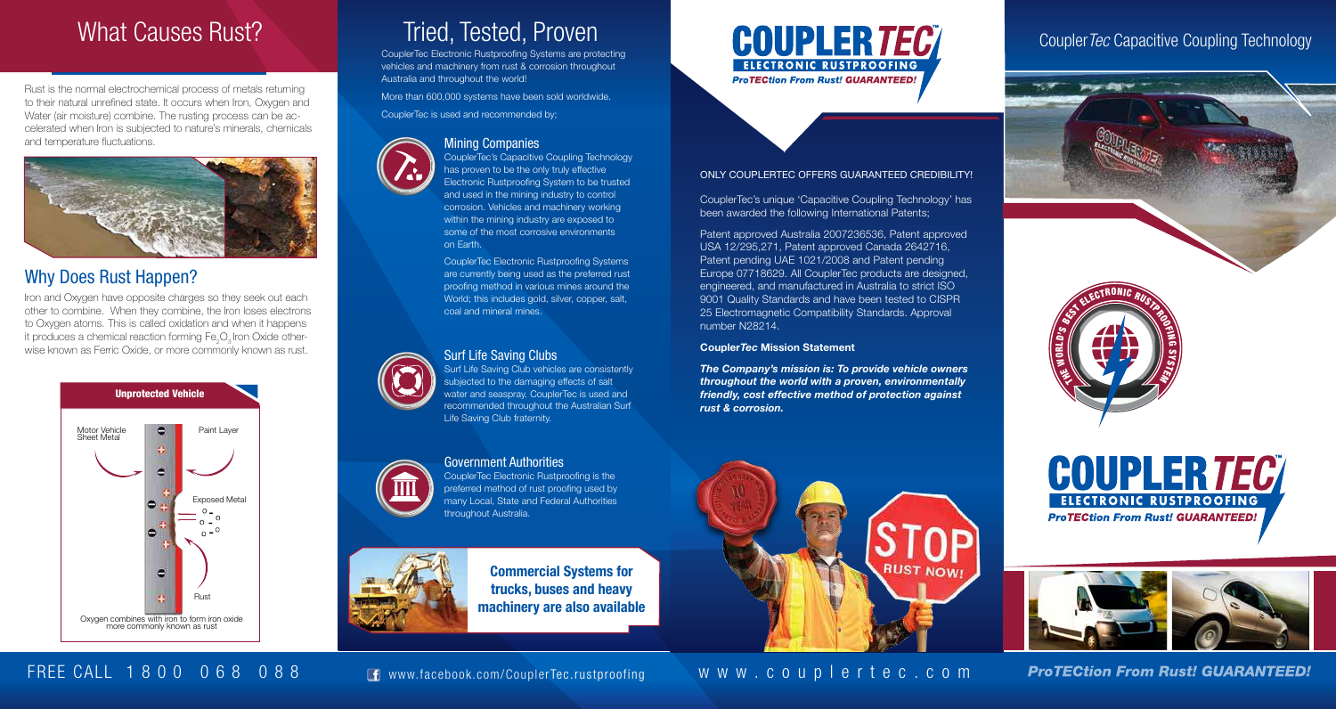# What Causes Rust?

Rust is the normal electrochemical process of metals returning to their natural unrefined state. It occurs when Iron, Oxygen and Water (air moisture) combine. The rusting process can be accelerated when Iron is subjected to nature's minerals, chemicals and temperature fluctuations.



## Why Does Rust Happen?

Iron and Oxygen have opposite charges so they seek out each other to combine. When they combine, the Iron loses electrons to Oxygen atoms. This is called oxidation and when it happens it produces a chemical reaction forming Fe<sub>2</sub>O<sub>2</sub> Iron Oxide otherwise known as Ferric Oxide, or more commonly known as rust.



# Tried, Tested, Proven

CouplerTec Electronic Rustproofing Systems are protecting vehicles and machinery from rust & corrosion throughout Australia and throughout the world!

More than 600,000 systems have been sold worldwide.

CouplerTec is used and recommended by;



### Mining Companies

CouplerTec's Capacitive Coupling Technology has proven to be the only truly effective Electronic Rustproofing System to be trusted and used in the mining industry to control corrosion. Vehicles and machinery working within the mining industry are exposed to some of the most corrosive environments on Earth.

CouplerTec Electronic Rustproofing Systems are currently being used as the preferred rust proofing method in various mines around the World; this includes gold, silver, copper, salt, coal and mineral mines.

#### Surf Life Saving Clubs

Surf Life Saving Club vehicles are consistently subjected to the damaging effects of salt water and seaspray. CouplerTec is used and recommended throughout the Australian Surf Life Saving Club fraternity.



CouplerTec Electronic Rustproofing is the preferred method of rust proofing used by many Local, State and Federal Authorities throughout Australia.



Commercial Systems for trucks, buses and heavy machinery are also available



#### ONLY COUPLERTEC OFFERS GUARANTEED CREDIBILITY!

CouplerTec's unique 'Capacitive Coupling Technology' has been awarded the following International Patents;

Patent approved Australia 2007236536, Patent approved USA 12/295,271, Patent approved Canada 2642716, Patent pending UAE 1021/2008 and Patent pending Europe 07718629. All CouplerTec products are designed, engineered, and manufactured in Australia to strict ISO 9001 Quality Standards and have been tested to CISPR 25 Electromagnetic Compatibility Standards. Approval number N28214.

#### Coupler*Tec* Mission Statement

*The Company's mission is: To provide vehicle owners throughout the world with a proven, environmentally friendly, cost effective method of protection against rust & corrosion.*











FREE CALL 1 8 0 0 0 6 8 0 8 8 FREE CALL 1 8 0 0 0 6 8 0 8 8

**RUST NOW!** 

**ProTECtion From Rust! GUARANTEED!**